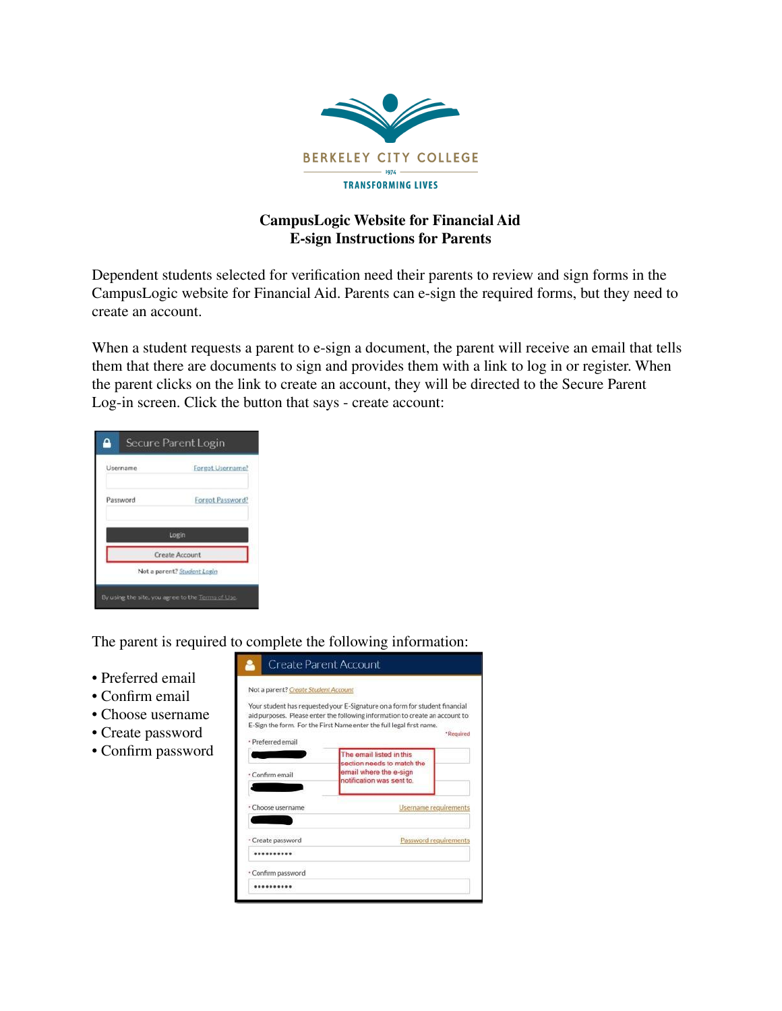

## **CampusLogic Website for Financial Aid E-sign Instructions for Parents**

Dependent students selected for verification need their parents to review and sign forms in the CampusLogic website for Financial Aid. Parents can e-sign the required forms, but they need to create an account.

When a student requests a parent to e-sign a document, the parent will receive an email that tells them that there are documents to sign and provides them with a link to log in or register. When the parent clicks on the link to create an account, they will be directed to the Secure Parent Log-in screen. Click the button that says - create account:



The parent is required to complete the following information:

- Preferred email
- Confirm email
- Choose username
- Create password
- Confirm password

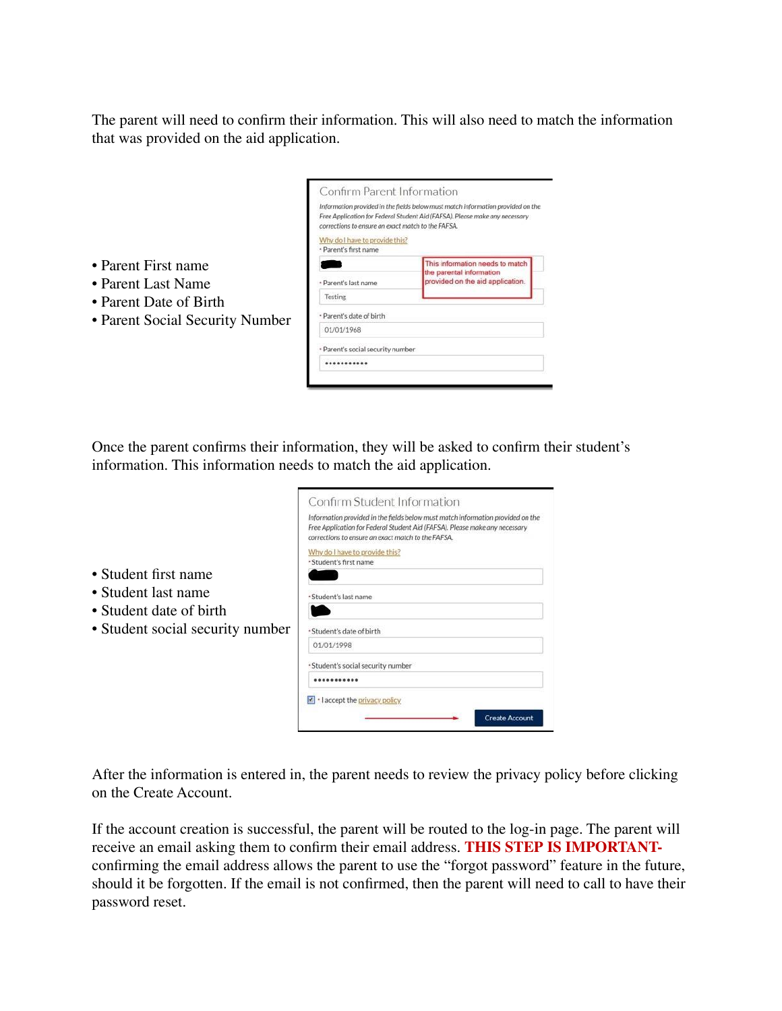The parent will need to confirm their information. This will also need to match the information that was provided on the aid application.

| Confirm Parent Information                         |                                                                                                                                                                |
|----------------------------------------------------|----------------------------------------------------------------------------------------------------------------------------------------------------------------|
| corrections to ensure an exact match to the FAFSA. | Information provided in the fields below must match information provided on the<br>Free Application for Federal Student Aid (FAFSA). Please make any necessary |
| Why do I have to provide this?                     |                                                                                                                                                                |
| · Parent's first name                              |                                                                                                                                                                |
|                                                    | This information needs to match                                                                                                                                |
| * Parent's last name                               | the parental information<br>provided on the aid application.                                                                                                   |
| Testing                                            |                                                                                                                                                                |
| · Parent's date of birth                           |                                                                                                                                                                |
| 01/01/1968                                         |                                                                                                                                                                |
| * Parent's social security number                  |                                                                                                                                                                |
|                                                    |                                                                                                                                                                |

Once the parent confirms their information, they will be asked to confirm their student's information. This information needs to match the aid application.

|                                    | Information provided in the fields below must match information provided on the |
|------------------------------------|---------------------------------------------------------------------------------|
|                                    | Free Application for Federal Student Aid (FAFSA). Please make any necessary     |
|                                    | corrections to ensure an exact match to the FAFSA.                              |
| Why do I have to provide this?     |                                                                                 |
| - Student's first name             |                                                                                 |
|                                    |                                                                                 |
| · Student's last name              |                                                                                 |
|                                    |                                                                                 |
| * Student's date of birth          |                                                                                 |
| 01/01/1998                         |                                                                                 |
| * Student's social security number |                                                                                 |
|                                    |                                                                                 |
|                                    | I laccept the privacy policy                                                    |
|                                    |                                                                                 |

• Student first name

• Parent First name • Parent Last Name • Parent Date of Birth

• Parent Social Security Number

- Student last name
- Student date of birth
- Student social security number

After the information is entered in, the parent needs to review the privacy policy before clicking on the Create Account.

If the account creation is successful, the parent will be routed to the log-in page. The parent will receive an email asking them to confirm their email address. **THIS STEP IS IMPORTANT**confirming the email address allows the parent to use the "forgot password" feature in the future, should it be forgotten. If the email is not confirmed, then the parent will need to call to have their password reset.